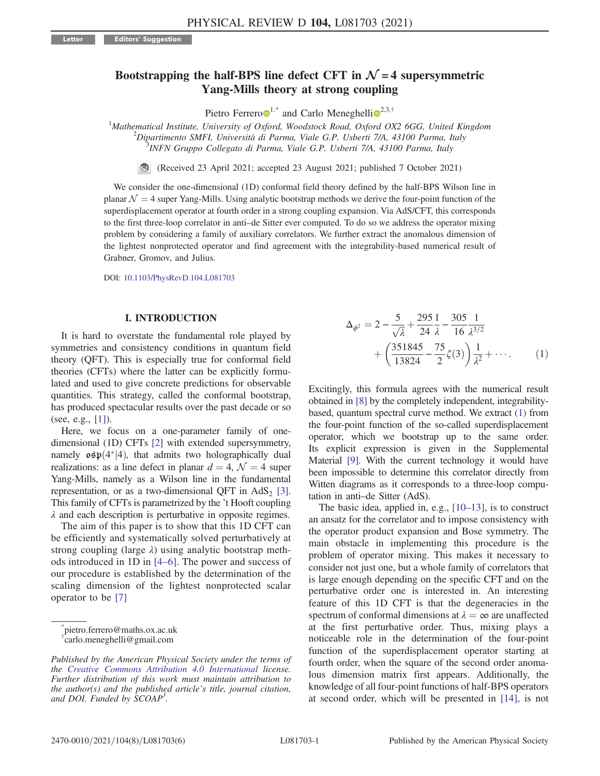# Bootstrapping the half-BPS line defect CFT in  $\mathcal{N} = 4$  supersymmetric Yang-Mills theory at strong coupling

Pietro Ferrero $\mathbf{D}^{1,*}$  $\mathbf{D}^{1,*}$  $\mathbf{D}^{1,*}$  $\mathbf{D}^{1,*}$  and Carlo Meneghelli $\mathbf{D}^{2,3,\dagger}$  $\mathbf{D}^{2,3,\dagger}$  $\mathbf{D}^{2,3,\dagger}$ 

<span id="page-0-3"></span><sup>1</sup>Mathematical Institute, University of Oxford, Woodstock Road, Oxford OX2 6GG, United Kingdom<br><sup>2</sup>Dinartimente SMEL Università di Parma, Viale C.P. Usharti 7/4, 43100 Parma, Italy  $\alpha^2$ Dipartimento SMFI, Università di Parma, Viale G.P. Usberti 7/A, 43100 Parma, Italy <sup>3</sup>INFN Gruppo Collegato di Parma, Viale G.P. Usberti 7/A, 43100 Parma, Italy

(Received 23 April 2021; accepted 23 August 2021; published 7 October 2021)

We consider the one-dimensional (1D) conformal field theory defined by the half-BPS Wilson line in planar  $\mathcal{N} = 4$  super Yang-Mills. Using analytic bootstrap methods we derive the four-point function of the superdisplacement operator at fourth order in a strong coupling expansion. Via AdS/CFT, this corresponds to the first three-loop correlator in anti–de Sitter ever computed. To do so we address the operator mixing problem by considering a family of auxiliary correlators. We further extract the anomalous dimension of the lightest nonprotected operator and find agreement with the integrability-based numerical result of Grabner, Gromov, and Julius.

DOI: [10.1103/PhysRevD.104.L081703](https://doi.org/10.1103/PhysRevD.104.L081703)

# I. INTRODUCTION

It is hard to overstate the fundamental role played by symmetries and consistency conditions in quantum field theory (QFT). This is especially true for conformal field theories (CFTs) where the latter can be explicitly formulated and used to give concrete predictions for observable quantities. This strategy, called the conformal bootstrap, has produced spectacular results over the past decade or so (see, e.g., [\[1\]](#page-5-0)).

Here, we focus on a one-parameter family of onedimensional (1D) CFTs [\[2\]](#page-5-1) with extended supersymmetry, namely  $\sigma \mathfrak{sp}(4^*|4)$ , that admits two holographically dual<br>realizations: as a line defect in planar  $d-4$   $\mathcal{N}-4$  super realizations: as a line defect in planar  $d = 4$ ,  $\mathcal{N} = 4$  super Yang-Mills, namely as a Wilson line in the fundamental representation, or as a two-dimensional QFT in  $AdS<sub>2</sub>$  [\[3\]](#page-5-2). This family of CFTs is parametrized by the 't Hooft coupling  $\lambda$  and each description is perturbative in opposite regimes.

The aim of this paper is to show that this 1D CFT can be efficiently and systematically solved perturbatively at strong coupling (large  $\lambda$ ) using analytic bootstrap methods introduced in 1D in [\[4](#page-5-3)–6]. The power and success of our procedure is established by the determination of the scaling dimension of the lightest nonprotected scalar operator to be [\[7\]](#page-5-4)

<span id="page-0-2"></span><span id="page-0-1"></span><span id="page-0-0"></span>[\\*](#page-0-3) pietro.ferrero@maths.ox.ac.uk [†](#page-0-3) carlo.meneghelli@gmail.com

$$
\Delta_{\phi^2} = 2 - \frac{5}{\sqrt{\lambda}} + \frac{295}{24} \frac{1}{\lambda} - \frac{305}{16} \frac{1}{\lambda^{3/2}} + \left(\frac{351845}{13824} - \frac{75}{2}\zeta(3)\right) \frac{1}{\lambda^2} + \cdots
$$
 (1)

Excitingly, this formula agrees with the numerical result obtained in [\[8\]](#page-5-5) by the completely independent, integrabilitybased, quantum spectral curve method. We extract [\(1\)](#page-0-2) from the four-point function of the so-called superdisplacement operator, which we bootstrap up to the same order. Its explicit expression is given in the Supplemental Material [\[9\].](#page-5-6) With the current technology it would have been impossible to determine this correlator directly from Witten diagrams as it corresponds to a three-loop computation in anti–de Sitter (AdS).

The basic idea, applied in, e.g., [10–[13\],](#page-5-7) is to construct an ansatz for the correlator and to impose consistency with the operator product expansion and Bose symmetry. The main obstacle in implementing this procedure is the problem of operator mixing. This makes it necessary to consider not just one, but a whole family of correlators that is large enough depending on the specific CFT and on the perturbative order one is interested in. An interesting feature of this 1D CFT is that the degeneracies in the spectrum of conformal dimensions at  $\lambda = \infty$  are unaffected at the first perturbative order. Thus, mixing plays a noticeable role in the determination of the four-point function of the superdisplacement operator starting at fourth order, when the square of the second order anomalous dimension matrix first appears. Additionally, the knowledge of all four-point functions of half-BPS operators at second order, which will be presented in [\[14\]](#page-5-8), is not

Published by the American Physical Society under the terms of the [Creative Commons Attribution 4.0 International](https://creativecommons.org/licenses/by/4.0/) license. Further distribution of this work must maintain attribution to the author(s) and the published article's title, journal citation, and DOI. Funded by SCOAP<sup>3</sup>.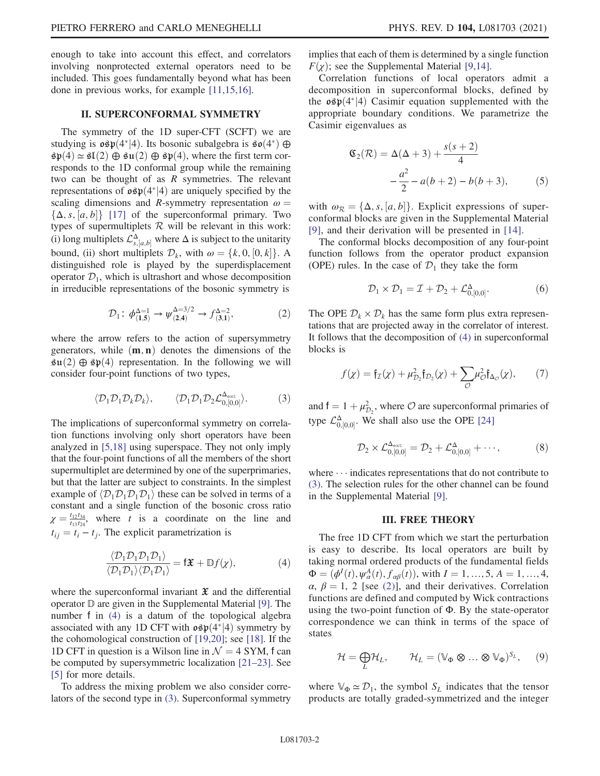enough to take into account this effect, and correlators involving nonprotected external operators need to be included. This goes fundamentally beyond what has been done in previous works, for example [\[11,15,16\].](#page-5-9)

# II. SUPERCONFORMAL SYMMETRY

<span id="page-1-7"></span>The symmetry of the 1D super-CFT (SCFT) we are studying is  $\mathfrak{osp}(4^*|4)$ . Its bosonic subalgebra is  $\mathfrak{so}(4^*) \oplus$ <br> $\mathfrak{so}(4) \sim \mathfrak{so}(2) \oplus \mathfrak{su}(2) \oplus \mathfrak{so}(4)$  where the first term con- $\mathfrak{sp}(4) \simeq \mathfrak{sl}(2) \oplus \mathfrak{su}(2) \oplus \mathfrak{sp}(4)$ , where the first term corresponds to the 1D conformal group while the remaining two can be thought of as  $R$  symmetries. The relevant representations of  $\mathfrak{osp}(4^*|4)$  are uniquely specified by the scaling dimensions and *R*-symmetry representation  $\omega$  – scaling dimensions and R-symmetry representation  $\omega =$  $\{\Delta, s, [a, b]\}$  [\[17\]](#page-5-10) of the superconformal primary. Two types of supermultiplets  $R$  will be relevant in this work: (i) long multiplets  $\mathcal{L}_{s,[a,b]}^{\Delta}$  where  $\Delta$  is subject to the unitarity<br>beamed (ii) short multiplets  $\mathcal{D}_{s}$  with  $s_{\text{max}}$  (k, 0, [0, k]). bound, (ii) short multiplets  $\mathcal{D}_k$ , with  $\omega = \{k, 0, [0, k]\}.$  A distinguished role is played by the superdisplacement operator  $\mathcal{D}_1$ , which is ultrashort and whose decomposition in irreducible representations of the bosonic symmetry is

$$
\mathcal{D}_1: \ \phi_{(1,5)}^{\Delta=1} \to \psi_{(2,4)}^{\Delta=3/2} \to f_{(3,1)}^{\Delta=2}, \tag{2}
$$

<span id="page-1-2"></span><span id="page-1-1"></span>where the arrow refers to the action of supersymmetry generators, while  $(m, n)$  denotes the dimensions of the  $\mathfrak{su}(2) \oplus \mathfrak{sp}(4)$  representation. In the following we will consider four-point functions of two types,

$$
\langle \mathcal{D}_1 \mathcal{D}_1 \mathcal{D}_k \mathcal{D}_k \rangle, \qquad \langle \mathcal{D}_1 \mathcal{D}_1 \mathcal{D}_2 \mathcal{L}_{0,[0,0]}^{\Delta_{\text{ext}}} \rangle. \tag{3}
$$

The implications of superconformal symmetry on correlation functions involving only short operators have been analyzed in [\[5,18\]](#page-5-11) using superspace. They not only imply that the four-point functions of all the members of the short supermultiplet are determined by one of the superprimaries, but that the latter are subject to constraints. In the simplest example of  $\langle \mathcal{D}_1 \mathcal{D}_1 \mathcal{D}_1 \mathcal{D}_1 \rangle$  these can be solved in terms of a constant and a single function of the bosonic cross ratio  $\chi = \frac{t_{12}t_{34}}{t_{13}t_{24}}$ , where t is a coordinate on the line and  $t_{ij} = t_i - t_j$ . The explicit parametrization is

<span id="page-1-0"></span>
$$
\frac{\langle \mathcal{D}_1 \mathcal{D}_1 \mathcal{D}_1 \rangle}{\langle \mathcal{D}_1 \mathcal{D}_1 \rangle \langle \mathcal{D}_1 \mathcal{D}_1 \rangle} = \mathbf{f} \mathbf{\mathfrak{X}} + \mathbb{D} f(\chi), \tag{4}
$$

where the superconformal invariant  $\mathfrak X$  and the differential operator D are given in the Supplemental Material [\[9\].](#page-5-6) The number f in [\(4\)](#page-1-0) is a datum of the topological algebra associated with any 1D CFT with  $\log p(4^*|4)$  symmetry by the cohomological construction of [19, 20]; see [18]. If the the cohomological construction of [\[19,20\]](#page-5-12); see [\[18\].](#page-5-13) If the 1D CFT in question is a Wilson line in  $\mathcal{N} = 4$  SYM, f can be computed by supersymmetric localization [\[21](#page-5-14)–23]. See [\[5\]](#page-5-11) for more details.

To address the mixing problem we also consider correlators of the second type in [\(3\)](#page-1-1). Superconformal symmetry implies that each of them is determined by a single function  $F(\chi)$ ; see the Supplemental Material [\[9,14\].](#page-5-6)

<span id="page-1-4"></span>Correlation functions of local operators admit a decomposition in superconformal blocks, defined by the  $\mathfrak{osp}(4^*|4)$  Casimir equation supplemented with the appropriate boundary conditions. We parametrize the appropriate boundary conditions. We parametrize the Casimir eigenvalues as

$$
\mathfrak{C}_2(\mathcal{R}) = \Delta(\Delta + 3) + \frac{s(s+2)}{4}
$$

$$
-\frac{a^2}{2} - a(b+2) - b(b+3), \tag{5}
$$

with  $\omega_R = {\{\Delta, s, [a, b]\}}$ . Explicit expressions of superconformal blocks are given in the Supplemental Material [\[9\],](#page-5-6) and their derivation will be presented in [\[14\]](#page-5-8).

<span id="page-1-5"></span>The conformal blocks decomposition of any four-point function follows from the operator product expansion (OPE) rules. In the case of  $\mathcal{D}_1$  they take the form

$$
\mathcal{D}_1 \times \mathcal{D}_1 = \mathcal{I} + \mathcal{D}_2 + \mathcal{L}_{0,[0,0]}^{\Delta}.
$$
 (6)

<span id="page-1-3"></span>The OPE  $\mathcal{D}_k \times \mathcal{D}_k$  has the same form plus extra representations that are projected away in the correlator of interest. It follows that the decomposition of [\(4\)](#page-1-0) in superconformal blocks is

$$
f(\chi) = \mathfrak{f}_{\mathcal{I}}(\chi) + \mu_{\mathcal{D}_2}^2 \mathfrak{f}_{\mathcal{D}_2}(\chi) + \sum_{\mathcal{O}} \mu_{\mathcal{O}}^2 \mathfrak{f}_{\Delta_{\mathcal{O}}}(\chi), \qquad (7)
$$

<span id="page-1-6"></span>and  $\mathbf{f} = 1 + \mu_{D_2}^2$ , where  $\mathcal{O}$  are superconformal primaries of type  $\mathcal{L}_{0,[0,0]}^{\Delta}$ . We shall also use the OPE [\[24\]](#page-5-15)

$$
\mathcal{D}_2 \times \mathcal{L}_{0,[0,0]}^{\Delta_{\text{ext}}} = \mathcal{D}_2 + \mathcal{L}_{0,[0,0]}^{\Delta} + \cdots,
$$
 (8)

where  $\cdots$  indicates representations that do not contribute to [\(3\)](#page-1-1). The selection rules for the other channel can be found in the Supplemental Material [\[9\]](#page-5-6).

#### III. FREE THEORY

The free 1D CFT from which we start the perturbation is easy to describe. Its local operators are built by taking normal ordered products of the fundamental fields  $\Phi = (\phi^I(t), \psi^A_{\alpha}(t), f_{\alpha\beta}(t)),$  with  $I = 1, ..., 5, A = 1, ..., 4,$ <br> $\alpha, \beta = 1, 2$  [see (2)], and their derivatives. Correlation  $\alpha$ ,  $\beta = 1$ , 2 [see [\(2\)](#page-1-2)], and their derivatives. Correlation functions are defined and computed by Wick contractions using the two-point function of  $\Phi$ . By the state-operator correspondence we can think in terms of the space of states

$$
\mathcal{H} = \bigoplus_{L} \mathcal{H}_{L}, \qquad \mathcal{H}_{L} = (\mathbb{V}_{\Phi} \otimes \dots \otimes \mathbb{V}_{\Phi})^{S_{L}}, \qquad (9)
$$

where  $\mathbb{V}_{\Phi} \simeq \mathcal{D}_1$ , the symbol  $S_L$  indicates that the tensor products are totally graded-symmetrized and the integer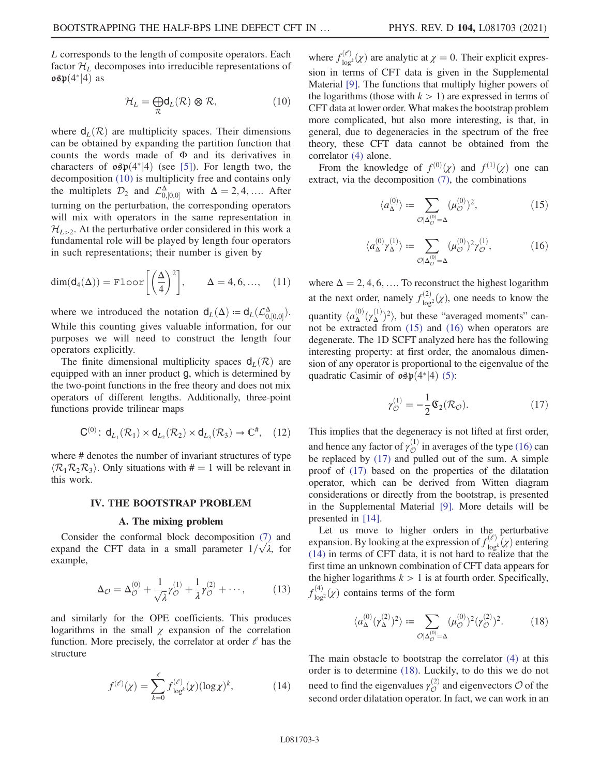<span id="page-2-0"></span>L corresponds to the length of composite operators. Each factor  $\mathcal{H}_L$  decomposes into irreducible representations of  $\mathfrak{osp}(4^*|4)$  as

$$
\mathcal{H}_L = \bigoplus_{\mathcal{R}} \mathsf{d}_L(\mathcal{R}) \otimes \mathcal{R},\tag{10}
$$

where  $d_L(\mathcal{R})$  are multiplicity spaces. Their dimensions can be obtained by expanding the partition function that counts the words made of Φ and its derivatives in characters of  $\mathfrak{osp}(4^*|4)$  (see [\[5\]\)](#page-5-11). For length two, the decomposition (10) is multiplicity free and contains only decomposition [\(10\)](#page-2-0) is multiplicity free and contains only the multiplets  $\mathcal{D}_2$  and  $\mathcal{L}_{0,[0,0]}^{\Delta}$  with  $\Delta = 2, 4, \dots$ . After turning on the perturbation, the corresponding operators will mix with operators in the same representation in  $\mathcal{H}_{L>2}$ . At the perturbative order considered in this work a fundamental role will be played by length four operators in such representations; their number is given by

<span id="page-2-7"></span>
$$
\dim(\mathsf{d}_4(\Delta)) = \text{Floor}\bigg[\bigg(\frac{\Delta}{4}\bigg)^2\bigg], \qquad \Delta = 4, 6, ..., \quad (11)
$$

where we introduced the notation  $d_L(\Delta) = d_L(\mathcal{L}^{\Delta}_{0,[0,0]})$ . While this counting gives valuable information, for our purposes we will need to construct the length four operators explicitly.

The finite dimensional multiplicity spaces  $d_L(\mathcal{R})$  are equipped with an inner product g, which is determined by the two-point functions in the free theory and does not mix operators of different lengths. Additionally, three-point functions provide trilinear maps

<span id="page-2-6"></span>
$$
\mathbf{C}^{(0)}\colon \mathsf{d}_{L_1}(\mathcal{R}_1)\times \mathsf{d}_{L_2}(\mathcal{R}_2)\times \mathsf{d}_{L_3}(\mathcal{R}_3)\to \mathbb{C}^*,\quad (12)
$$

where # denotes the number of invariant structures of type  $\langle \mathcal{R}_1 \mathcal{R}_2 \mathcal{R}_3 \rangle$ . Only situations with  $\ddot{=} = 1$  will be relevant in this work.

#### IV. THE BOOTSTRAP PROBLEM

#### A. The mixing problem

Consider the conformal block decomposition [\(7\)](#page-1-3) and expand the CFT data in a small parameter  $1/\sqrt{\lambda}$ , for example,

$$
\Delta_{\mathcal{O}} = \Delta_{\mathcal{O}}^{(0)} + \frac{1}{\sqrt{\lambda}} \gamma_{\mathcal{O}}^{(1)} + \frac{1}{\lambda} \gamma_{\mathcal{O}}^{(2)} + \cdots, \qquad (13)
$$

<span id="page-2-4"></span>and similarly for the OPE coefficients. This produces logarithms in the small  $\chi$  expansion of the correlation function. More precisely, the correlator at order  $\ell$  has the structure

$$
f^{(\ell)}(\chi) = \sum_{k=0}^{\ell} f_{\text{log}^k}^{(\ell)}(\chi)(\log \chi)^k, \tag{14}
$$

where  $f_{\text{log}k}^{(\ell)}(\chi)$  are analytic at  $\chi = 0$ . Their explicit expression in terms of CFT data is given in the Supplemental Material [\[9\]](#page-5-6). The functions that multiply higher powers of the logarithms (those with  $k > 1$ ) are expressed in terms of CFT data at lower order. What makes the bootstrap problem more complicated, but also more interesting, is that, in general, due to degeneracies in the spectrum of the free theory, these CFT data cannot be obtained from the

<span id="page-2-1"></span>From the knowledge of  $f^{(0)}(\chi)$  and  $f^{(1)}(\chi)$  one can tract via the decomposition (7) the combinations extract, via the decomposition [\(7\),](#page-1-3) the combinations

correlator [\(4\)](#page-1-0) alone.

$$
\langle a_{\Delta}^{(0)} \rangle := \sum_{\mathcal{O} \mid \Delta_{\mathcal{O}}^{(0)} = \Delta} (\mu_{\mathcal{O}}^{(0)})^2, \tag{15}
$$

$$
\langle a_{\Delta}^{(0)} \gamma_{\Delta}^{(1)} \rangle := \sum_{\mathcal{O} | \Delta_{\mathcal{O}}^{(0)} = \Delta} (\mu_{\mathcal{O}}^{(0)})^2 \gamma_{\mathcal{O}}^{(1)},\tag{16}
$$

<span id="page-2-2"></span>where  $\Delta = 2, 4, 6, \ldots$  To reconstruct the highest logarithm at the next order, namely  $f_{\text{log}2}^{(2)}(\chi)$ , one needs to know the quantity  $\langle a_{\Delta}^{(0)}(\gamma_{\Delta}^{(1)})^2 \rangle$ , but these "averaged moments" can-<br>not be extracted from (15) and (16) when operators are not be extracted from [\(15\)](#page-2-1) and [\(16\)](#page-2-2) when operators are degenerate. The 1D SCFT analyzed here has the following interesting property: at first order, the anomalous dimension of any operator is proportional to the eigenvalue of the quadratic Casimir of  $\mathfrak{osp}(4^*|4)$  [\(5\):](#page-1-4)

$$
\gamma_{\mathcal{O}}^{(1)} = -\frac{1}{2}\mathfrak{C}_2(\mathcal{R}_{\mathcal{O}}). \tag{17}
$$

<span id="page-2-3"></span>This implies that the degeneracy is not lifted at first order, and hence any factor of  $\gamma_{\cal{O}}^{(1)}$  in averages of the type [\(16\)](#page-2-2) can be replaced by [\(17\)](#page-2-3) and pulled out of the sum. A simple proof of [\(17\)](#page-2-3) based on the properties of the dilatation operator, which can be derived from Witten diagram considerations or directly from the bootstrap, is presented in the Supplemental Material [\[9\].](#page-5-6) More details will be presented in [\[14\]](#page-5-8).

<span id="page-2-5"></span>Let us move to higher orders in the perturbative expansion. By looking at the expression of  $f_{\text{log}k}^{(\ell)}(\chi)$  entering (14) in terms of CFT data, it is not hard to realize that the [\(14\)](#page-2-4) in terms of CFT data, it is not hard to realize that the first time an unknown combination of CFT data appears for the higher logarithms  $k > 1$  is at fourth order. Specifically,  $f_{\log^2}^{(4)}(\chi)$  contains terms of the form

$$
\langle a_{\Delta}^{(0)}(\gamma_{\Delta}^{(2)})^2 \rangle := \sum_{\mathcal{O}|\Delta_{\mathcal{O}}^{(0)} = \Delta} (\mu_{\mathcal{O}}^{(0)})^2 (\gamma_{\mathcal{O}}^{(2)})^2. \tag{18}
$$

The main obstacle to bootstrap the correlator [\(4\)](#page-1-0) at this order is to determine [\(18\).](#page-2-5) Luckily, to do this we do not need to find the eigenvalues  $\gamma_{\cal O}^{(2)}$  and eigenvectors  ${\cal O}$  of the second order dilatation operator. In fact, we can work in an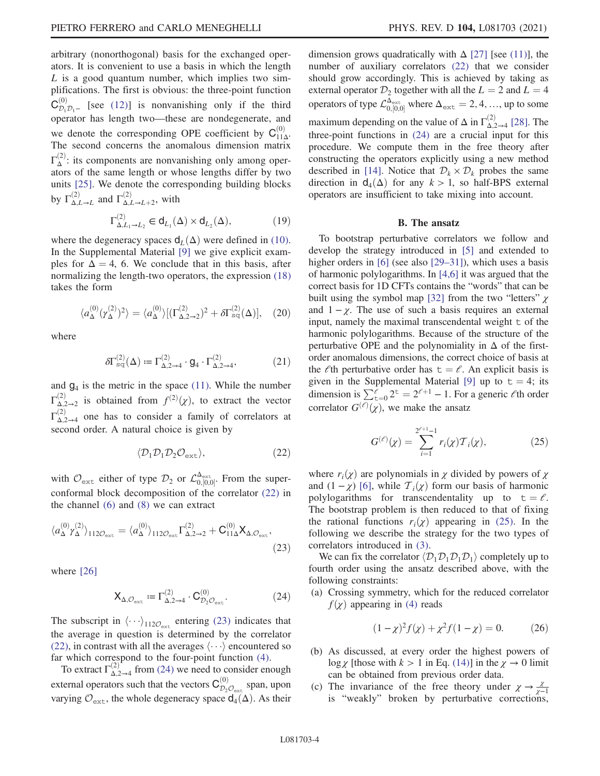arbitrary (nonorthogonal) basis for the exchanged operators. It is convenient to use a basis in which the length  $L$  is a good quantum number, which implies two simplifications. The first is obvious: the three-point function  $C_{\mathcal{D}_1 \mathcal{D}_1 -}^{(0)}$  [see [\(12\)\]](#page-2-6) is nonvanishing only if the third operator has length two—these are nondegenerate, and we denote the corresponding OPE coefficient by  $C_{11\Delta}^{(0)}$ . The second concerns the anomalous dimension matrix  $\Gamma_{\Delta}^{(2)}$ : its components are nonvanishing only among operators of the same length or whose lengths differ by two units [\[25\].](#page-5-16) We denote the corresponding building blocks by  $\Gamma_{\Delta,L\to L}^{(2)}$  and  $\Gamma_{\Delta,L\to L+2}^{(2)}$ , with

$$
\Gamma_{\Delta, L_1 \to L_2}^{(2)} \in \mathsf{d}_{L_1}(\Delta) \times \mathsf{d}_{L_2}(\Delta),\tag{19}
$$

<span id="page-3-5"></span>where the degeneracy spaces  $d_L(\Delta)$  were defined in [\(10\)](#page-2-0). In the Supplemental Material [\[9\]](#page-5-6) we give explicit examples for  $\Delta = 4$ , 6. We conclude that in this basis, after normalizing the length-two operators, the expression [\(18\)](#page-2-5) takes the form

<span id="page-3-4"></span>
$$
\langle a_{\Delta}^{(0)}(\gamma_{\Delta}^{(2)})^2 \rangle = \langle a_{\Delta}^{(0)} \rangle [(\Gamma_{\Delta,2\to 2}^{(2)})^2 + \delta \Gamma_{\rm sq}^{(2)}(\Delta)], \quad (20)
$$

where

$$
\delta\Gamma_{\text{sq}}^{(2)}(\Delta) \coloneqq \Gamma_{\Delta,2\to 4}^{(2)} \cdot \mathbf{g}_4 \cdot \Gamma_{\Delta,2\to 4}^{(2)},\tag{21}
$$

<span id="page-3-0"></span>and  $g_4$  is the metric in the space [\(11\)](#page-2-7). While the number  $\Gamma_{\Delta,2\to 2}^{(2)}$  is obtained from  $f^{(2)}(\chi)$ , to extract the vector  $\Gamma_{\Delta,2\to 4}^{(2)}$  one has to consider a family of correlators at second order. A natural choice is given by

$$
\langle \mathcal{D}_1 \mathcal{D}_1 \mathcal{D}_2 \mathcal{O}_{\text{ext}} \rangle, \tag{22}
$$

<span id="page-3-1"></span>with  $\mathcal{O}_{ext}$  either of type  $\mathcal{D}_2$  or  $\mathcal{L}_{0,[0,0]}^{\Delta_{ext}}$ . From the super-<br>conformal block decomposition of the correlator (22) in conformal block decomposition of the correlator [\(22\)](#page-3-0) in the channel [\(6\)](#page-1-5) and [\(8\)](#page-1-6) we can extract

$$
\langle a_{\Delta}^{(0)} \gamma_{\Delta}^{(2)} \rangle_{112\mathcal{O}_{\rm ext}} = \langle a_{\Delta}^{(0)} \rangle_{112\mathcal{O}_{\rm ext}} \Gamma_{\Delta,2\to 2}^{(2)} + \mathbf{C}_{11\Delta}^{(0)} \mathbf{X}_{\Delta,\mathcal{O}_{\rm ext}},
$$
\n(23)

<span id="page-3-2"></span>where [\[26\]](#page-5-17)

$$
\mathbf{X}_{\Delta,\mathcal{O}_{\text{ext}}} := \Gamma_{\Delta,2\to 4}^{(2)} \cdot \mathbf{C}_{\mathcal{D}_2\mathcal{O}_{\text{ext}}}^{(0)}.\tag{24}
$$

The subscript in  $\langle \cdots \rangle_{112\mathcal{O}_{ext}}$  entering [\(23\)](#page-3-1) indicates that the average in question is determined by the correlator [\(22\),](#page-3-0) in contrast with all the averages  $\langle \cdots \rangle$  encountered so far which correspond to the four-point function [\(4\).](#page-1-0)

To extract  $\Gamma_{\Delta,2\to 4}^{(2)}$  from [\(24\)](#page-3-2) we need to consider enough external operators such that the vectors  $C_{\mathcal{D}_2\mathcal{O}_{\mathrm{ext}}}^{(0)}$  span, upon varying  $\mathcal{O}_{ext}$ , the whole degeneracy space  $d_4(\Delta)$ . As their dimension grows quadratically with  $\Delta$  [\[27\]](#page-5-18) [see [\(11\)](#page-2-7)], the number of auxiliary correlators [\(22\)](#page-3-0) that we consider should grow accordingly. This is achieved by taking as external operator  $\mathcal{D}_2$  together with all the  $L = 2$  and  $L = 4$ operators of type  $\mathcal{L}_{0,[0,0]}^{\Delta_{\text{ext}}}$  where  $\Delta_{\text{ext}} = 2, 4, ...,$  up to some maximum depending on the value of  $\Delta$  in  $\Gamma_{\Delta,2\to 4}^{(2)}$  [\[28\].](#page-5-19) The three-point functions in [\(24\)](#page-3-2) are a crucial input for this procedure. We compute them in the free theory after constructing the operators explicitly using a new method described in [\[14\]](#page-5-8). Notice that  $\mathcal{D}_k \times \mathcal{D}_k$  probes the same direction in  $d_4(\Delta)$  for any  $k > 1$ , so half-BPS external operators are insufficient to take mixing into account.

### B. The ansatz

To bootstrap perturbative correlators we follow and develop the strategy introduced in [\[5\]](#page-5-11) and extended to higher orders in [\[6\]](#page-5-20) (see also [29–[31\]\)](#page-5-21), which uses a basis of harmonic polylogarithms. In [\[4,6\]](#page-5-3) it was argued that the correct basis for 1D CFTs contains the "words" that can be built using the symbol map [\[32\]](#page-5-22) from the two "letters"  $\chi$ and  $1 - \chi$ . The use of such a basis requires an external input, namely the maximal transcendental weight  $\pm$  of the harmonic polylogarithms. Because of the structure of the perturbative OPE and the polynomiality in  $\Delta$  of the firstorder anomalous dimensions, the correct choice of basis at the  $\ell$ th perturbative order has  $t = \ell$ . An explicit basis is given in the Supplemental Material [\[9\]](#page-5-6) up to  $t = 4$ ; its dimension is  $\sum_{t=0}^{\ell} 2^{t} = 2^{\ell+1} - 1$ . For a generic  $\ell$ th order correlator  $G^{(\ell)}(\chi)$ , we make the ansatz

<span id="page-3-3"></span>
$$
G^{(\ell)}(\chi) = \sum_{i=1}^{2^{\ell+1}-1} r_i(\chi) \mathcal{T}_i(\chi), \tag{25}
$$

where  $r_i(\chi)$  are polynomials in  $\chi$  divided by powers of  $\chi$ and  $(1 - \chi)$  [\[6\]](#page-5-20), while  $\mathcal{T}_i(\chi)$  form our basis of harmonic polylogarithms for transcendentality up to  $t = \ell$ . The bootstrap problem is then reduced to that of fixing the rational functions  $r_i(\chi)$  appearing in [\(25\).](#page-3-3) In the following we describe the strategy for the two types of correlators introduced in [\(3\)](#page-1-1).

We can fix the correlator  $\langle \mathcal{D}_1 \mathcal{D}_1 \mathcal{D}_1 \mathcal{D}_1 \rangle$  completely up to fourth order using the ansatz described above, with the following constraints:

(a) Crossing symmetry, which for the reduced correlator  $f(\chi)$  appearing in [\(4\)](#page-1-0) reads

$$
(1 - \chi)^2 f(\chi) + \chi^2 f(1 - \chi) = 0.
$$
 (26)

- (b) As discussed, at every order the highest powers of  $\log \chi$  [those with  $k > 1$  in Eq. [\(14\)](#page-2-4)] in the  $\chi \to 0$  limit can be obtained from previous order data.
- (c) The invariance of the free theory under  $\chi \to \frac{\chi}{\chi-1}$ is "weakly" broken by perturbative corrections,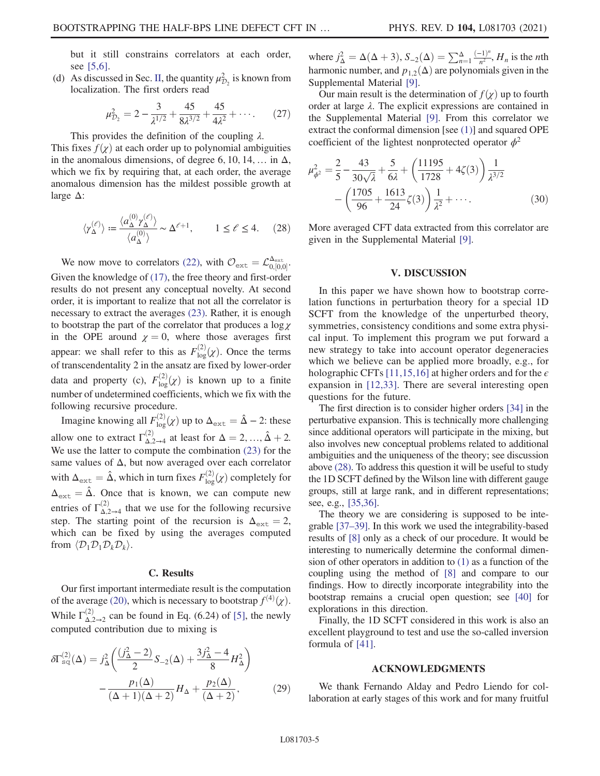but it still constrains correlators at each order, see [\[5,6\]](#page-5-11).

<span id="page-4-1"></span>(d) As discussed in Sec. [II,](#page-1-7) the quantity  $\mu_{\mathcal{D}_2}^2$  is known from localization. The first orders read

$$
\mu_{\mathcal{D}_2}^2 = 2 - \frac{3}{\lambda^{1/2}} + \frac{45}{8\lambda^{3/2}} + \frac{45}{4\lambda^2} + \cdots. \tag{27}
$$

This provides the definition of the coupling  $\lambda$ .

This fixes  $f(\chi)$  at each order up to polynomial ambiguities in the anomalous dimensions, of degree 6, 10, 14, ... in  $\Delta$ , which we fix by requiring that, at each order, the average anomalous dimension has the mildest possible growth at large Δ:

<span id="page-4-0"></span>
$$
\langle \gamma_{\Delta}^{(\ell)} \rangle := \frac{\langle a_{\Delta}^{(0)} \gamma_{\Delta}^{(\ell)} \rangle}{\langle a_{\Delta}^{(0)} \rangle} \sim \Delta^{\ell+1}, \qquad 1 \le \ell \le 4. \tag{28}
$$

We now move to correlators [\(22\),](#page-3-0) with  $\mathcal{O}_{ext} = \mathcal{L}_{0,[0,0]}^{\Delta_{ext}}$ . Given the knowledge of [\(17\),](#page-2-3) the free theory and first-order results do not present any conceptual novelty. At second order, it is important to realize that not all the correlator is necessary to extract the averages [\(23\)](#page-3-1). Rather, it is enough to bootstrap the part of the correlator that produces a  $\log \chi$ in the OPE around  $\chi = 0$ , where those averages first appear: we shall refer to this as  $F_{\text{log}}^{(2)}(\chi)$ . Once the terms of transcendentality 2 in the ansatz are fixed by lower-order data and property (c),  $F_{\text{log}}^{(2)}(\chi)$  is known up to a finite number of undetermined coefficients, which we fix with the following recursive procedure.

Imagine knowing all  $F_{\log}^{(2)}(\chi)$  up to  $\Delta_{\text{ext}} = \hat{\Delta} - 2$ : these allow one to extract  $\Gamma_{\Delta,2\to 4}^{(2)}$  at least for  $\Delta = 2, ..., \hat{\Delta} + 2$ .<br>We use the letter to compute the combination (23) for the We use the latter to compute the combination [\(23\)](#page-3-1) for the same values of  $\Delta$ , but now averaged over each correlator with  $\Delta_{\text{ext}} = \hat{\Delta}$ , which in turn fixes  $F_{\text{log}}^{(2)}(\chi)$  completely for  $\Delta_{\text{ext}} = \hat{\Delta}$ . Once that is known, we can compute new entries of  $\Gamma_{\Delta,2\to 4}^{(2)}$  that we use for the following recursive step. The starting point of the recursion is  $\Delta_{\text{ext}} = 2$ , which can be fixed by using the averages computed from  $\langle \mathcal{D}_1 \mathcal{D}_1 \mathcal{D}_k \mathcal{D}_k \rangle$ .

#### C. Results

Our first important intermediate result is the computation of the average [\(20\),](#page-3-4) which is necessary to bootstrap  $f^{(4)}(\chi)$ . While  $\Gamma_{\Delta,2\to 2}^{(2)}$  can be found in Eq. (6.24) of [\[5\]](#page-5-11), the newly computed contribution due to mixing is

$$
\delta\Gamma_{\text{sq}}^{(2)}(\Delta) = j_{\Delta}^2 \left( \frac{(j_{\Delta}^2 - 2)}{2} S_{-2}(\Delta) + \frac{3j_{\Delta}^2 - 4}{8} H_{\Delta}^2 \right) - \frac{p_1(\Delta)}{(\Delta + 1)(\Delta + 2)} H_{\Delta} + \frac{p_2(\Delta)}{(\Delta + 2)},
$$
(29)

where  $j_{\Delta}^2 = \Delta(\Delta + 3), S_{-2}(\Delta) = \sum_{n=1}^{\Delta} \frac{(-1)^n}{n^2}, H_n$  is the *n*th hermonic number and n (A) are not promisely given in the harmonic number, and  $p_{1,2}(\Delta)$  are polynomials given in the Supplemental Material [\[9\]](#page-5-6).

Our main result is the determination of  $f(\chi)$  up to fourth order at large  $\lambda$ . The explicit expressions are contained in the Supplemental Material [\[9\]](#page-5-6). From this correlator we extract the conformal dimension [see [\(1\)](#page-0-2)] and squared OPE coefficient of the lightest nonprotected operator  $\phi^2$ 

$$
\mu_{\phi^2}^2 = \frac{2}{5} - \frac{43}{30\sqrt{\lambda}} + \frac{5}{6\lambda} + \left(\frac{11195}{1728} + 4\zeta(3)\right) \frac{1}{\lambda^{3/2}} - \left(\frac{1705}{96} + \frac{1613}{24}\zeta(3)\right) \frac{1}{\lambda^2} + \cdots
$$
\n(30)

More averaged CFT data extracted from this correlator are given in the Supplemental Material [\[9\].](#page-5-6)

#### V. DISCUSSION

In this paper we have shown how to bootstrap correlation functions in perturbation theory for a special 1D SCFT from the knowledge of the unperturbed theory, symmetries, consistency conditions and some extra physical input. To implement this program we put forward a new strategy to take into account operator degeneracies which we believe can be applied more broadly, e.g., for holographic CFTs [\[11,15,16\]](#page-5-9) at higher orders and for the  $\epsilon$ expansion in [\[12,33\]](#page-5-23). There are several interesting open questions for the future.

The first direction is to consider higher orders [\[34\]](#page-5-24) in the perturbative expansion. This is technically more challenging since additional operators will participate in the mixing, but also involves new conceptual problems related to additional ambiguities and the uniqueness of the theory; see discussion above [\(28\)](#page-4-0). To address this question it will be useful to study the 1D SCFT defined by the Wilson line with different gauge groups, still at large rank, and in different representations; see, e.g., [\[35,36\].](#page-5-25)

The theory we are considering is supposed to be integrable [\[37](#page-5-26)–39]. In this work we used the integrability-based results of [\[8\]](#page-5-5) only as a check of our procedure. It would be interesting to numerically determine the conformal dimension of other operators in addition to [\(1\)](#page-0-2) as a function of the coupling using the method of [\[8\]](#page-5-5) and compare to our findings. How to directly incorporate integrability into the bootstrap remains a crucial open question; see [\[40\]](#page-5-27) for explorations in this direction.

Finally, the 1D SCFT considered in this work is also an excellent playground to test and use the so-called inversion formula of [\[41\].](#page-5-28)

## ACKNOWLEDGMENTS

We thank Fernando Alday and Pedro Liendo for collaboration at early stages of this work and for many fruitful